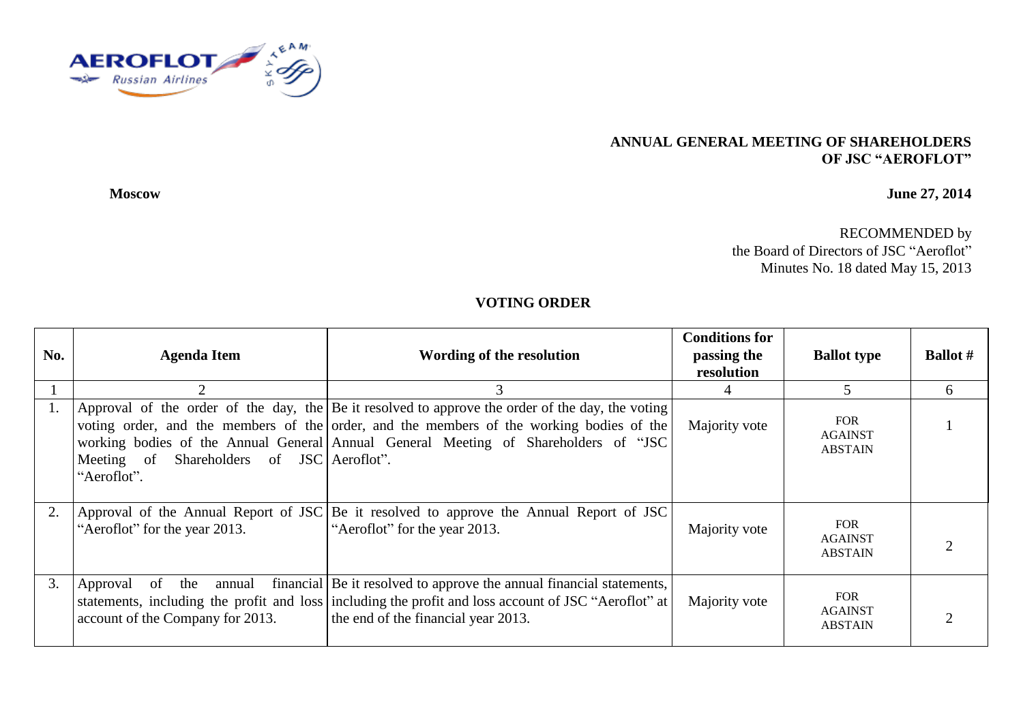

## **ANNUAL GENERAL MEETING OF SHAREHOLDERS OF JSC "AEROFLOT"**

**Moscow June 27, 2014**

RECOMMENDED by the Board of Directors of JSC "Aeroflot" Minutes No. 18 dated May 15, 2013

## **VOTING ORDER**

| No. | <b>Agenda Item</b>                                            | Wording of the resolution                                                                                                                                                                                                                                                           | <b>Conditions for</b><br>passing the<br>resolution | <b>Ballot type</b>                             | <b>Ballot</b> # |
|-----|---------------------------------------------------------------|-------------------------------------------------------------------------------------------------------------------------------------------------------------------------------------------------------------------------------------------------------------------------------------|----------------------------------------------------|------------------------------------------------|-----------------|
|     |                                                               | 3                                                                                                                                                                                                                                                                                   | 4                                                  | 5                                              | 6               |
|     | Meeting of Shareholders of JSC Aeroflot".<br>"Aeroflot".      | Approval of the order of the day, the Be it resolved to approve the order of the day, the voting<br>voting order, and the members of the order, and the members of the working bodies of the<br>working bodies of the Annual General Annual General Meeting of Shareholders of "JSC | Majority vote                                      | <b>FOR</b><br><b>AGAINST</b><br><b>ABSTAIN</b> |                 |
|     | "Aeroflot" for the year 2013.                                 | Approval of the Annual Report of JSC Be it resolved to approve the Annual Report of JSC<br>"Aeroflot" for the year 2013.                                                                                                                                                            | Majority vote                                      | <b>FOR</b><br><b>AGAINST</b><br><b>ABSTAIN</b> |                 |
| 3.  | Approval of the<br>annual<br>account of the Company for 2013. | financial Be it resolved to approve the annual financial statements,<br>statements, including the profit and loss including the profit and loss account of JSC "Aeroflot" at<br>the end of the financial year 2013.                                                                 | Majority vote                                      | <b>FOR</b><br><b>AGAINST</b><br><b>ABSTAIN</b> |                 |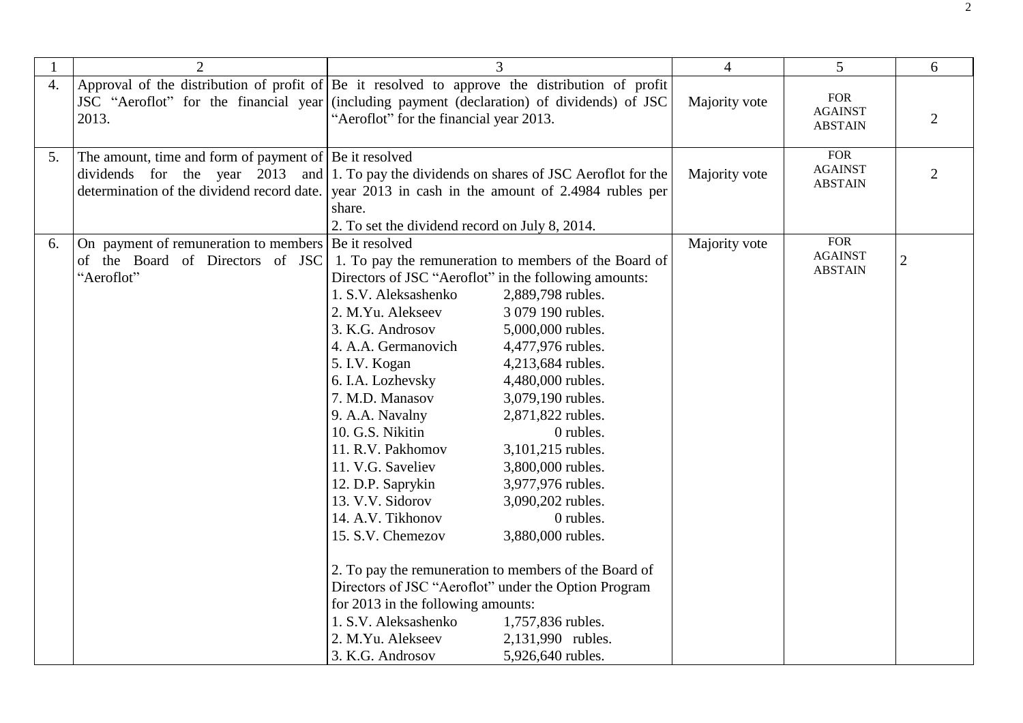|                  | $\overline{2}$                                                                                           |                                                                                                                                                                                                                                                                                                                                                                                                                                                                                   |                                                                                                                                                                                                                                                                                                                                                                                                                                                                                                                                                  | $\overline{4}$ | 5 <sup>5</sup>                                 | 6              |
|------------------|----------------------------------------------------------------------------------------------------------|-----------------------------------------------------------------------------------------------------------------------------------------------------------------------------------------------------------------------------------------------------------------------------------------------------------------------------------------------------------------------------------------------------------------------------------------------------------------------------------|--------------------------------------------------------------------------------------------------------------------------------------------------------------------------------------------------------------------------------------------------------------------------------------------------------------------------------------------------------------------------------------------------------------------------------------------------------------------------------------------------------------------------------------------------|----------------|------------------------------------------------|----------------|
| $\overline{4}$ . | 2013.                                                                                                    | Approval of the distribution of profit of Be it resolved to approve the distribution of profit<br>JSC "Aeroflot" for the financial year (including payment (declaration) of dividends) of JSC<br>"Aeroflot" for the financial year 2013.                                                                                                                                                                                                                                          |                                                                                                                                                                                                                                                                                                                                                                                                                                                                                                                                                  | Majority vote  | <b>FOR</b><br><b>AGAINST</b><br><b>ABSTAIN</b> | $\overline{2}$ |
| 5.               | The amount, time and form of payment of $ Be$ it resolved                                                | dividends for the year 2013 and 1. To pay the dividends on shares of JSC Aeroflot for the<br>determination of the dividend record date. year 2013 in cash in the amount of 2.4984 rubles per<br>share.<br>2. To set the dividend record on July 8, 2014.                                                                                                                                                                                                                          |                                                                                                                                                                                                                                                                                                                                                                                                                                                                                                                                                  | Majority vote  | <b>FOR</b><br><b>AGAINST</b><br><b>ABSTAIN</b> | $\overline{2}$ |
| 6.               | On payment of remuneration to members   Be it resolved<br>of the Board of Directors of JSC<br>"Aeroflot" | Directors of JSC "Aeroflot" in the following amounts:<br>1. S.V. Aleksashenko<br>2. M.Yu. Alekseev<br>3. K.G. Androsov<br>4. A.A. Germanovich<br>5. I.V. Kogan<br>6. I.A. Lozhevsky<br>7. M.D. Manasov<br>9. A.A. Navalny<br>10. G.S. Nikitin<br>11. R.V. Pakhomov<br>11. V.G. Saveliev<br>12. D.P. Saprykin<br>13. V.V. Sidorov<br>14. A.V. Tikhonov<br>15. S.V. Chemezov<br>for 2013 in the following amounts:<br>1. S.V. Aleksashenko<br>2. M.Yu. Alekseev<br>3. K.G. Androsov | 1. To pay the remuneration to members of the Board of<br>2,889,798 rubles.<br>3 079 190 rubles.<br>5,000,000 rubles.<br>4,477,976 rubles.<br>4,213,684 rubles.<br>4,480,000 rubles.<br>3,079,190 rubles.<br>2,871,822 rubles.<br>0 rubles.<br>3,101,215 rubles.<br>3,800,000 rubles.<br>3,977,976 rubles.<br>3,090,202 rubles.<br>0 rubles.<br>3,880,000 rubles.<br>2. To pay the remuneration to members of the Board of<br>Directors of JSC "Aeroflot" under the Option Program<br>1,757,836 rubles.<br>2,131,990 rubles.<br>5,926,640 rubles. | Majority vote  | <b>FOR</b><br><b>AGAINST</b><br><b>ABSTAIN</b> |                |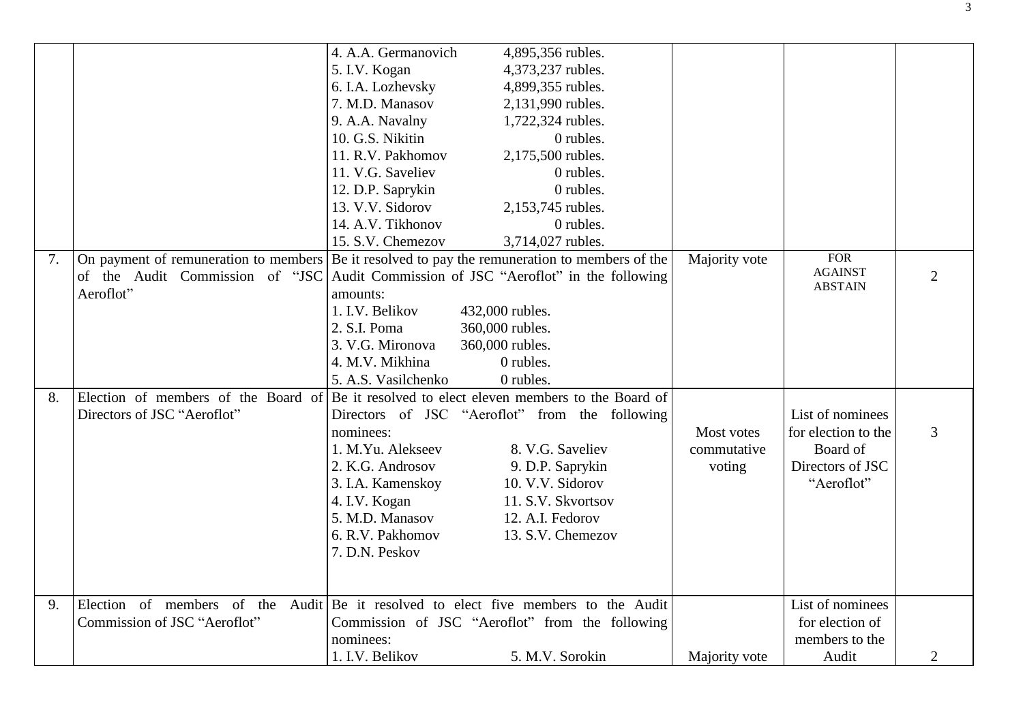|    |                              | 4. A.A. Germanovich<br>4,895,356 rubles.                                                       |               |                     |                |
|----|------------------------------|------------------------------------------------------------------------------------------------|---------------|---------------------|----------------|
|    |                              | 5. I.V. Kogan<br>4,373,237 rubles.                                                             |               |                     |                |
|    |                              | 4,899,355 rubles.<br>6. I.A. Lozhevsky                                                         |               |                     |                |
|    |                              | 7. M.D. Manasov<br>2,131,990 rubles.                                                           |               |                     |                |
|    |                              | 9. A.A. Navalny<br>1,722,324 rubles.                                                           |               |                     |                |
|    |                              | 10. G.S. Nikitin<br>0 rubles.                                                                  |               |                     |                |
|    |                              | 11. R.V. Pakhomov<br>2,175,500 rubles.                                                         |               |                     |                |
|    |                              | 11. V.G. Saveliev<br>0 rubles.                                                                 |               |                     |                |
|    |                              | 12. D.P. Saprykin<br>0 rubles.                                                                 |               |                     |                |
|    |                              | 13. V.V. Sidorov<br>2,153,745 rubles.                                                          |               |                     |                |
|    |                              | 14. A.V. Tikhonov<br>0 rubles.                                                                 |               |                     |                |
|    |                              | 15. S.V. Chemezov<br>3,714,027 rubles.                                                         |               |                     |                |
| 7. |                              | On payment of remuneration to members Be it resolved to pay the remuneration to members of the | Majority vote | <b>FOR</b>          |                |
|    |                              | of the Audit Commission of "JSC Audit Commission of JSC "Aeroflot" in the following            |               | <b>AGAINST</b>      | $\overline{2}$ |
|    | Aeroflot"                    | amounts:                                                                                       |               | <b>ABSTAIN</b>      |                |
|    |                              | 1. I.V. Belikov<br>432,000 rubles.                                                             |               |                     |                |
|    |                              | 2. S.I. Poma<br>360,000 rubles.                                                                |               |                     |                |
|    |                              | 3. V.G. Mironova<br>360,000 rubles.                                                            |               |                     |                |
|    |                              | 4. M.V. Mikhina<br>0 rubles.                                                                   |               |                     |                |
|    |                              | 0 rubles.<br>5. A.S. Vasilchenko                                                               |               |                     |                |
| 8. |                              | Election of members of the Board of Be it resolved to elect eleven members to the Board of     |               |                     |                |
|    | Directors of JSC "Aeroflot"  | Directors of JSC "Aeroflot" from the following                                                 |               | List of nominees    |                |
|    |                              | nominees:                                                                                      | Most votes    | for election to the | 3              |
|    |                              | 1. M.Yu. Alekseev<br>8. V.G. Saveliev                                                          | commutative   | Board of            |                |
|    |                              | 2. K.G. Androsov<br>9. D.P. Saprykin                                                           | voting        | Directors of JSC    |                |
|    |                              | 3. I.A. Kamenskoy<br>10. V.V. Sidorov                                                          |               | "Aeroflot"          |                |
|    |                              | 4. I.V. Kogan<br>11. S.V. Skvortsov                                                            |               |                     |                |
|    |                              | 5. M.D. Manasov<br>12. A.I. Fedorov                                                            |               |                     |                |
|    |                              | 6. R.V. Pakhomov<br>13. S.V. Chemezov                                                          |               |                     |                |
|    |                              | 7. D.N. Peskov                                                                                 |               |                     |                |
|    |                              |                                                                                                |               |                     |                |
|    |                              |                                                                                                |               |                     |                |
| 9. |                              | Election of members of the Audit Be it resolved to elect five members to the Audit             |               | List of nominees    |                |
|    | Commission of JSC "Aeroflot" | Commission of JSC "Aeroflot" from the following                                                |               | for election of     |                |
|    |                              | nominees:                                                                                      |               | members to the      |                |
|    |                              | 1. I.V. Belikov<br>5. M.V. Sorokin                                                             | Majority vote | Audit               | $\overline{2}$ |